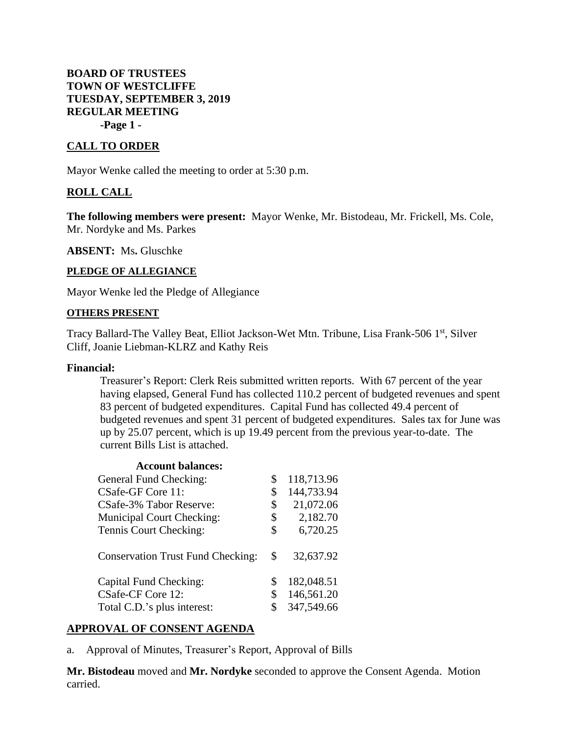# **BOARD OF TRUSTEES TOWN OF WESTCLIFFE TUESDAY, SEPTEMBER 3, 2019 REGULAR MEETING -Page 1 -**

## **CALL TO ORDER**

Mayor Wenke called the meeting to order at 5:30 p.m.

## **ROLL CALL**

**The following members were present:** Mayor Wenke, Mr. Bistodeau, Mr. Frickell, Ms. Cole, Mr. Nordyke and Ms. Parkes

**ABSENT:** Ms**.** Gluschke

#### **PLEDGE OF ALLEGIANCE**

Mayor Wenke led the Pledge of Allegiance

#### **OTHERS PRESENT**

Tracy Ballard-The Valley Beat, Elliot Jackson-Wet Mtn. Tribune, Lisa Frank-506 1<sup>st</sup>, Silver Cliff, Joanie Liebman-KLRZ and Kathy Reis

#### **Financial:**

Treasurer's Report: Clerk Reis submitted written reports. With 67 percent of the year having elapsed, General Fund has collected 110.2 percent of budgeted revenues and spent 83 percent of budgeted expenditures. Capital Fund has collected 49.4 percent of budgeted revenues and spent 31 percent of budgeted expenditures. Sales tax for June was up by 25.07 percent, which is up 19.49 percent from the previous year-to-date. The current Bills List is attached.

## **Account balances:**

| \$<br>118,713.96 |
|------------------|
| \$<br>144,733.94 |
| \$<br>21,072.06  |
| \$<br>2,182.70   |
| \$<br>6,720.25   |
| \$<br>32,637.92  |
| \$<br>182,048.51 |
| \$<br>146,561.20 |
| 347,549.66       |
|                  |

## **APPROVAL OF CONSENT AGENDA**

a. Approval of Minutes, Treasurer's Report, Approval of Bills

**Mr. Bistodeau** moved and **Mr. Nordyke** seconded to approve the Consent Agenda. Motion carried.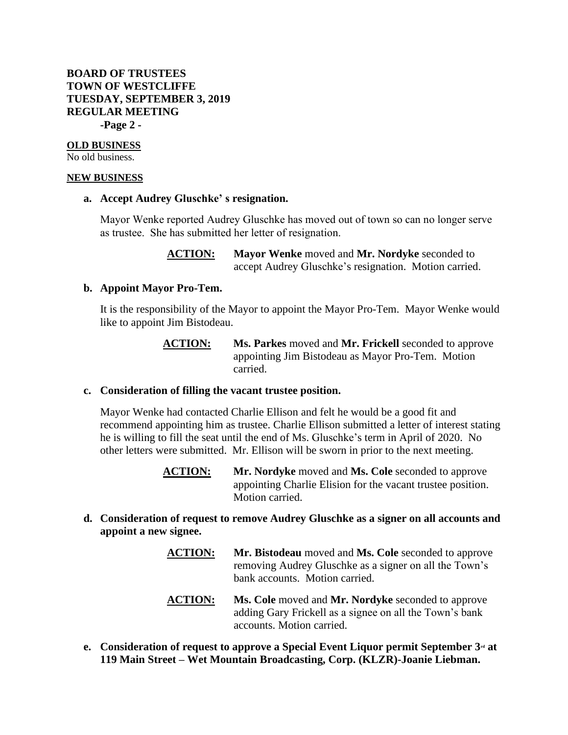# **BOARD OF TRUSTEES TOWN OF WESTCLIFFE TUESDAY, SEPTEMBER 3, 2019 REGULAR MEETING -Page 2 -**

#### **OLD BUSINESS**

No old business.

#### **NEW BUSINESS**

#### **a. Accept Audrey Gluschke' s resignation.**

Mayor Wenke reported Audrey Gluschke has moved out of town so can no longer serve as trustee. She has submitted her letter of resignation.

## **ACTION: Mayor Wenke** moved and **Mr. Nordyke** seconded to accept Audrey Gluschke's resignation. Motion carried.

## **b. Appoint Mayor Pro-Tem.**

It is the responsibility of the Mayor to appoint the Mayor Pro-Tem. Mayor Wenke would like to appoint Jim Bistodeau.

## **ACTION: Ms. Parkes** moved and **Mr. Frickell** seconded to approve appointing Jim Bistodeau as Mayor Pro-Tem. Motion carried.

## **c. Consideration of filling the vacant trustee position.**

Mayor Wenke had contacted Charlie Ellison and felt he would be a good fit and recommend appointing him as trustee. Charlie Ellison submitted a letter of interest stating he is willing to fill the seat until the end of Ms. Gluschke's term in April of 2020. No other letters were submitted. Mr. Ellison will be sworn in prior to the next meeting.

- **ACTION: Mr. Nordyke** moved and **Ms. Cole** seconded to approve appointing Charlie Elision for the vacant trustee position. Motion carried.
- **d. Consideration of request to remove Audrey Gluschke as a signer on all accounts and appoint a new signee.**
	- **ACTION: Mr. Bistodeau** moved and **Ms. Cole** seconded to approve removing Audrey Gluschke as a signer on all the Town's bank accounts. Motion carried.
	- **ACTION: Ms. Cole** moved and **Mr. Nordyke** seconded to approve adding Gary Frickell as a signee on all the Town's bank accounts. Motion carried.
- **e. Consideration of request to approve a Special Event Liquor permit September 3rd at 119 Main Street – Wet Mountain Broadcasting, Corp. (KLZR)-Joanie Liebman.**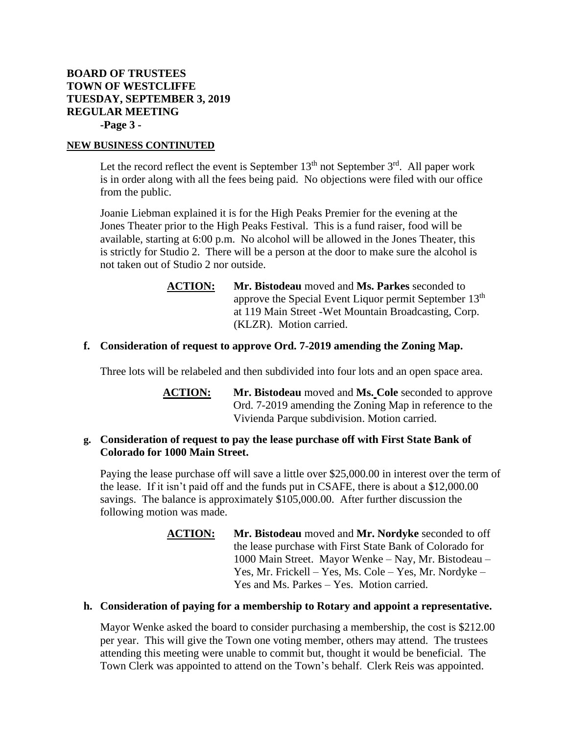# **BOARD OF TRUSTEES TOWN OF WESTCLIFFE TUESDAY, SEPTEMBER 3, 2019 REGULAR MEETING -Page 3 -**

## **NEW BUSINESS CONTINUTED**

Let the record reflect the event is September  $13<sup>th</sup>$  not September  $3<sup>rd</sup>$ . All paper work is in order along with all the fees being paid. No objections were filed with our office from the public.

Joanie Liebman explained it is for the High Peaks Premier for the evening at the Jones Theater prior to the High Peaks Festival. This is a fund raiser, food will be available, starting at 6:00 p.m. No alcohol will be allowed in the Jones Theater, this is strictly for Studio 2. There will be a person at the door to make sure the alcohol is not taken out of Studio 2 nor outside.

> **ACTION: Mr. Bistodeau** moved and **Ms. Parkes** seconded to approve the Special Event Liquor permit September 13<sup>th</sup> at 119 Main Street -Wet Mountain Broadcasting, Corp. (KLZR). Motion carried.

# **f. Consideration of request to approve Ord. 7-2019 amending the Zoning Map.**

Three lots will be relabeled and then subdivided into four lots and an open space area.

**ACTION: Mr. Bistodeau** moved and **Ms. Cole** seconded to approve Ord. 7-2019 amending the Zoning Map in reference to the Vivienda Parque subdivision. Motion carried.

# **g. Consideration of request to pay the lease purchase off with First State Bank of Colorado for 1000 Main Street.**

Paying the lease purchase off will save a little over \$25,000.00 in interest over the term of the lease. If it isn't paid off and the funds put in CSAFE, there is about a \$12,000.00 savings. The balance is approximately \$105,000.00. After further discussion the following motion was made.

> **ACTION: Mr. Bistodeau** moved and **Mr. Nordyke** seconded to off the lease purchase with First State Bank of Colorado for 1000 Main Street. Mayor Wenke – Nay, Mr. Bistodeau – Yes, Mr. Frickell – Yes, Ms. Cole – Yes, Mr. Nordyke – Yes and Ms. Parkes – Yes. Motion carried.

## **h. Consideration of paying for a membership to Rotary and appoint a representative.**

Mayor Wenke asked the board to consider purchasing a membership, the cost is \$212.00 per year. This will give the Town one voting member, others may attend. The trustees attending this meeting were unable to commit but, thought it would be beneficial. The Town Clerk was appointed to attend on the Town's behalf. Clerk Reis was appointed.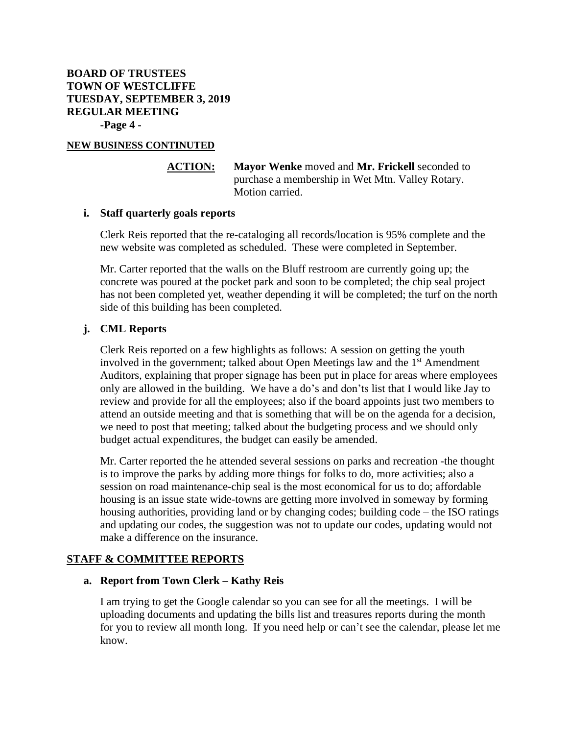**BOARD OF TRUSTEES TOWN OF WESTCLIFFE TUESDAY, SEPTEMBER 3, 2019 REGULAR MEETING -Page 4 -**

## **NEW BUSINESS CONTINUTED**

# **ACTION: Mayor Wenke** moved and **Mr. Frickell** seconded to purchase a membership in Wet Mtn. Valley Rotary. Motion carried.

## **i. Staff quarterly goals reports**

Clerk Reis reported that the re-cataloging all records/location is 95% complete and the new website was completed as scheduled. These were completed in September.

Mr. Carter reported that the walls on the Bluff restroom are currently going up; the concrete was poured at the pocket park and soon to be completed; the chip seal project has not been completed yet, weather depending it will be completed; the turf on the north side of this building has been completed.

# **j. CML Reports**

Clerk Reis reported on a few highlights as follows: A session on getting the youth involved in the government; talked about Open Meetings law and the  $1<sup>st</sup>$  Amendment Auditors, explaining that proper signage has been put in place for areas where employees only are allowed in the building. We have a do's and don'ts list that I would like Jay to review and provide for all the employees; also if the board appoints just two members to attend an outside meeting and that is something that will be on the agenda for a decision, we need to post that meeting; talked about the budgeting process and we should only budget actual expenditures, the budget can easily be amended.

Mr. Carter reported the he attended several sessions on parks and recreation -the thought is to improve the parks by adding more things for folks to do, more activities; also a session on road maintenance-chip seal is the most economical for us to do; affordable housing is an issue state wide-towns are getting more involved in someway by forming housing authorities, providing land or by changing codes; building code – the ISO ratings and updating our codes, the suggestion was not to update our codes, updating would not make a difference on the insurance.

# **STAFF & COMMITTEE REPORTS**

## **a. Report from Town Clerk – Kathy Reis**

I am trying to get the Google calendar so you can see for all the meetings. I will be uploading documents and updating the bills list and treasures reports during the month for you to review all month long. If you need help or can't see the calendar, please let me know.